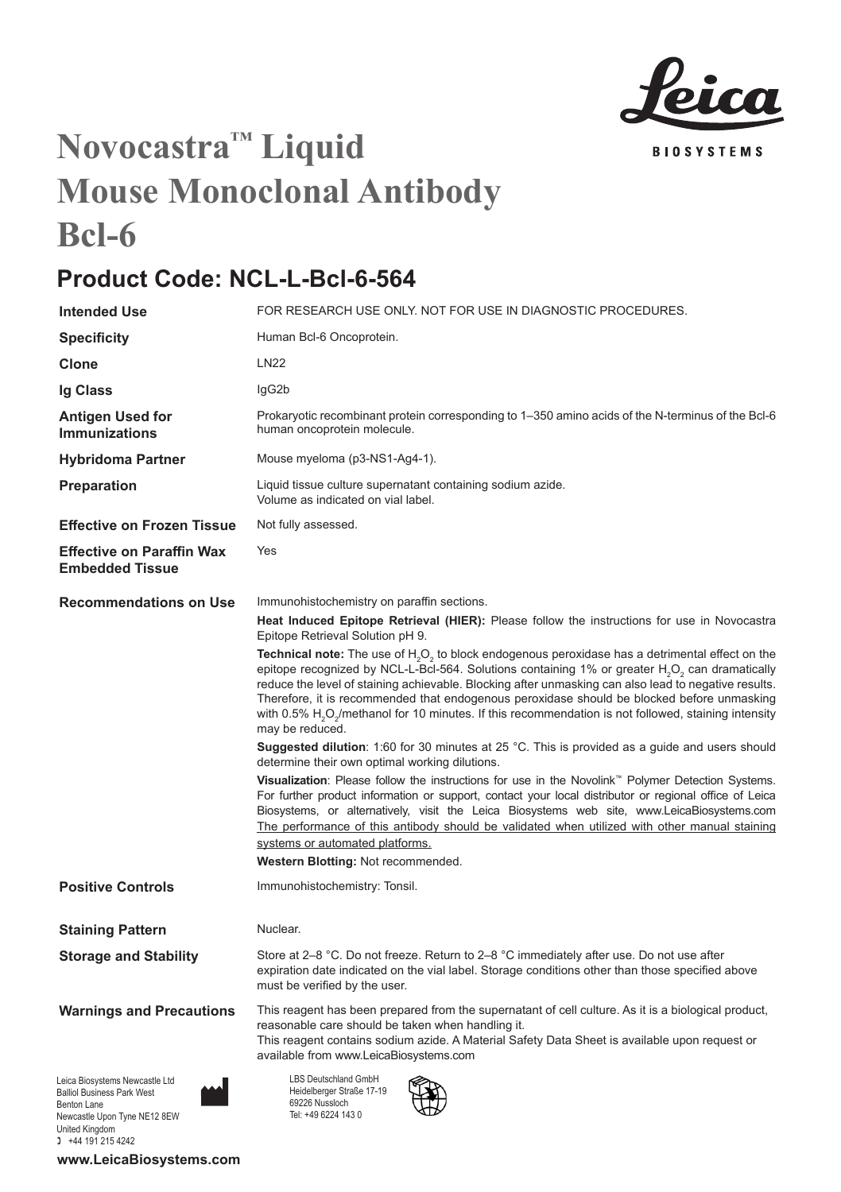

## **Novocastra™ Liquid Mouse Monoclonal Antibody Bcl-6**

## **Product Code: NCL-L-Bcl-6-564**

| <b>Intended Use</b>                                                                | FOR RESEARCH USE ONLY. NOT FOR USE IN DIAGNOSTIC PROCEDURES.                                                                                                                                                                                                                                                                                                                                                                                                                                                                                                                                 |
|------------------------------------------------------------------------------------|----------------------------------------------------------------------------------------------------------------------------------------------------------------------------------------------------------------------------------------------------------------------------------------------------------------------------------------------------------------------------------------------------------------------------------------------------------------------------------------------------------------------------------------------------------------------------------------------|
| <b>Specificity</b>                                                                 | Human Bcl-6 Oncoprotein.                                                                                                                                                                                                                                                                                                                                                                                                                                                                                                                                                                     |
| Clone                                                                              | <b>LN22</b>                                                                                                                                                                                                                                                                                                                                                                                                                                                                                                                                                                                  |
| Ig Class                                                                           | lgG2b                                                                                                                                                                                                                                                                                                                                                                                                                                                                                                                                                                                        |
| Antigen Used for<br><b>Immunizations</b>                                           | Prokaryotic recombinant protein corresponding to 1–350 amino acids of the N-terminus of the Bcl-6<br>human oncoprotein molecule.                                                                                                                                                                                                                                                                                                                                                                                                                                                             |
| <b>Hybridoma Partner</b>                                                           | Mouse myeloma (p3-NS1-Ag4-1).                                                                                                                                                                                                                                                                                                                                                                                                                                                                                                                                                                |
| Preparation                                                                        | Liquid tissue culture supernatant containing sodium azide.<br>Volume as indicated on vial label.                                                                                                                                                                                                                                                                                                                                                                                                                                                                                             |
| <b>Effective on Frozen Tissue</b>                                                  | Not fully assessed.                                                                                                                                                                                                                                                                                                                                                                                                                                                                                                                                                                          |
| <b>Effective on Paraffin Wax</b><br><b>Embedded Tissue</b>                         | Yes                                                                                                                                                                                                                                                                                                                                                                                                                                                                                                                                                                                          |
| <b>Recommendations on Use</b>                                                      | Immunohistochemistry on paraffin sections.<br>Heat Induced Epitope Retrieval (HIER): Please follow the instructions for use in Novocastra<br>Epitope Retrieval Solution pH 9.                                                                                                                                                                                                                                                                                                                                                                                                                |
|                                                                                    | <b>Technical note:</b> The use of $H_2O_2$ to block endogenous peroxidase has a detrimental effect on the<br>epitope recognized by NCL-L-Bcl-564. Solutions containing 1% or greater H <sub>2</sub> O <sub>2</sub> can dramatically<br>reduce the level of staining achievable. Blocking after unmasking can also lead to negative results.<br>Therefore, it is recommended that endogenous peroxidase should be blocked before unmasking<br>with 0.5% H <sub>2</sub> O <sub>2</sub> /methanol for 10 minutes. If this recommendation is not followed, staining intensity<br>may be reduced. |
|                                                                                    | <b>Suggested dilution</b> : 1:60 for 30 minutes at 25 °C. This is provided as a guide and users should<br>determine their own optimal working dilutions.                                                                                                                                                                                                                                                                                                                                                                                                                                     |
|                                                                                    | Visualization: Please follow the instructions for use in the Novolink™ Polymer Detection Systems.<br>For further product information or support, contact your local distributor or regional office of Leica<br>Biosystems, or alternatively, visit the Leica Biosystems web site, www.LeicaBiosystems.com<br>The performance of this antibody should be validated when utilized with other manual staining<br>systems or automated platforms.<br>Western Blotting: Not recommended.                                                                                                          |
| <b>Positive Controls</b>                                                           | Immunohistochemistry: Tonsil.                                                                                                                                                                                                                                                                                                                                                                                                                                                                                                                                                                |
| <b>Staining Pattern</b>                                                            | Nuclear.                                                                                                                                                                                                                                                                                                                                                                                                                                                                                                                                                                                     |
| <b>Storage and Stability</b>                                                       | Store at 2-8 °C. Do not freeze. Return to 2-8 °C immediately after use. Do not use after<br>expiration date indicated on the vial label. Storage conditions other than those specified above<br>must be verified by the user.                                                                                                                                                                                                                                                                                                                                                                |
| <b>Warnings and Precautions</b>                                                    | This reagent has been prepared from the supernatant of cell culture. As it is a biological product,<br>reasonable care should be taken when handling it.<br>This reagent contains sodium azide. A Material Safety Data Sheet is available upon request or<br>available from www.LeicaBiosystems.com                                                                                                                                                                                                                                                                                          |
| Leica Biosystems Newcastle Ltd<br><b>Balliol Business Park West</b><br>Benton Lane | LBS Deutschland GmbH<br>Heidelberger Straße 17-19<br>69226 Nussloch<br>Tel: 10 6004 1420                                                                                                                                                                                                                                                                                                                                                                                                                                                                                                     |

Tel: +49 6224 143 0

Balliol Business Park West Benton Lane Newcastle Upon Tyne NE12 8EW United Kingdom 0 +44 191 215 4242

**www.LeicaBiosystems.com**